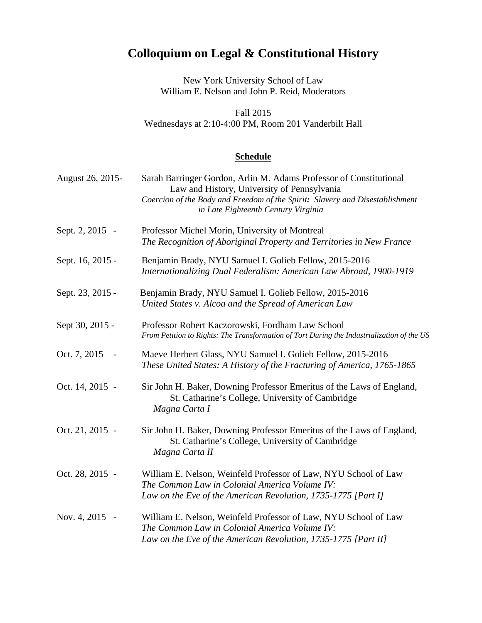## **Colloquium on Legal & Constitutional History**

New York University School of Law William E. Nelson and John P. Reid, Moderators

Fall 2015 Wednesdays at 2:10-4:00 PM, Room 201 Vanderbilt Hall

## **Schedule**

| August 26, 2015- | Sarah Barringer Gordon, Arlin M. Adams Professor of Constitutional<br>Law and History, University of Pennsylvania<br>Coercion of the Body and Freedom of the Spirit: Slavery and Disestablishment<br>in Late Eighteenth Century Virginia |
|------------------|------------------------------------------------------------------------------------------------------------------------------------------------------------------------------------------------------------------------------------------|
| Sept. 2, 2015 -  | Professor Michel Morin, University of Montreal<br>The Recognition of Aboriginal Property and Territories in New France                                                                                                                   |
| Sept. 16, 2015 - | Benjamin Brady, NYU Samuel I. Golieb Fellow, 2015-2016<br>Internationalizing Dual Federalism: American Law Abroad, 1900-1919                                                                                                             |
| Sept. 23, 2015 - | Benjamin Brady, NYU Samuel I. Golieb Fellow, 2015-2016<br>United States v. Alcoa and the Spread of American Law                                                                                                                          |
| Sept 30, 2015 -  | Professor Robert Kaczorowski, Fordham Law School<br>From Petition to Rights: The Transformation of Tort During the Industrialization of the US                                                                                           |
| Oct. 7, 2015     | Maeve Herbert Glass, NYU Samuel I. Golieb Fellow, 2015-2016<br>These United States: A History of the Fracturing of America, 1765-1865                                                                                                    |
| Oct. 14, 2015 -  | Sir John H. Baker, Downing Professor Emeritus of the Laws of England,<br>St. Catharine's College, University of Cambridge<br>Magna Carta I                                                                                               |
| Oct. 21, 2015 -  | Sir John H. Baker, Downing Professor Emeritus of the Laws of England,<br>St. Catharine's College, University of Cambridge<br>Magna Carta II                                                                                              |
| Oct. 28, 2015 -  | William E. Nelson, Weinfeld Professor of Law, NYU School of Law<br>The Common Law in Colonial America Volume IV:<br>Law on the Eve of the American Revolution, 1735-1775 [Part I]                                                        |
| Nov. 4, 2015 -   | William E. Nelson, Weinfeld Professor of Law, NYU School of Law<br>The Common Law in Colonial America Volume IV:<br>Law on the Eve of the American Revolution, 1735-1775 [Part II]                                                       |